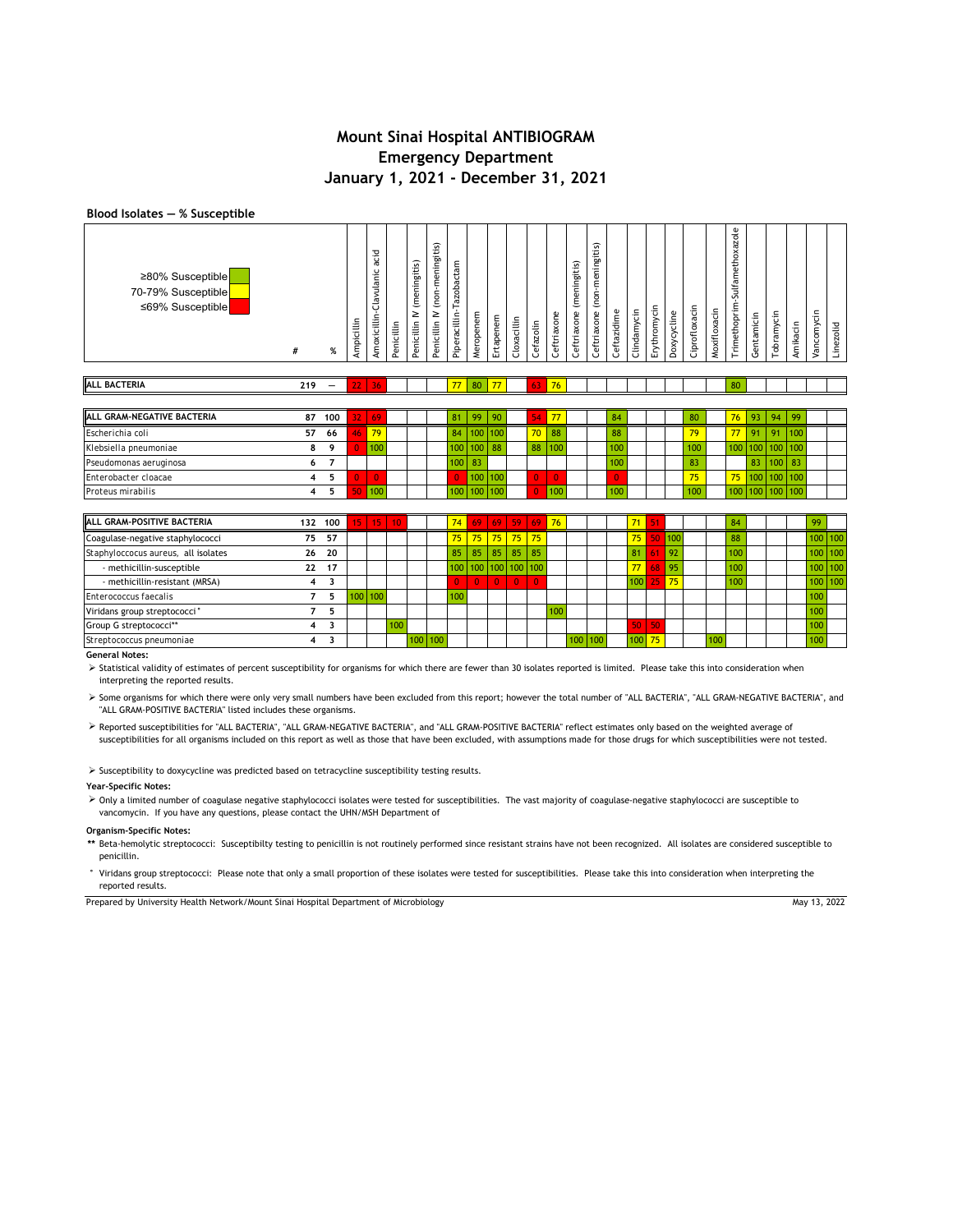### **Blood Isolates ― % Susceptible**

| ≥80% Susceptible<br>70-79% Susceptible<br>≤69% Susceptible | #   | $\%$                     | Ampicillin      | acid<br>Amoxicillin-Clavulanic | Penicillin | (meningitis)<br>Penicillin IV | Penicillin IV (non-meningitis) | Piperacillin-Tazobactam | Meropenem | Ertapenem | Cloxacillin | Cefazolin      | Ceftriaxone    | Ceftriaxone (meningitis) | Ceftriaxone (non-meningitis) | Ceftazidime    | Clindamycin | Erythromycin | Doxycycline | Ciprofloxacin | Moxifloxacin | Trimethoprim-Sulfamethoxazole | Gentamicin | Tobramycin       | Amikacin | Vancomycin | Linezolid |
|------------------------------------------------------------|-----|--------------------------|-----------------|--------------------------------|------------|-------------------------------|--------------------------------|-------------------------|-----------|-----------|-------------|----------------|----------------|--------------------------|------------------------------|----------------|-------------|--------------|-------------|---------------|--------------|-------------------------------|------------|------------------|----------|------------|-----------|
| <b>ALL BACTERIA</b>                                        | 219 | $\overline{\phantom{0}}$ | 22 <sub>1</sub> | 36                             |            |                               |                                | 77                      | 80        | 77        |             | 63             | 76             |                          |                              |                |             |              |             |               |              | 80                            |            |                  |          |            |           |
|                                                            |     |                          |                 |                                |            |                               |                                |                         |           |           |             |                |                |                          |                              |                |             |              |             |               |              |                               |            |                  |          |            |           |
| ALL GRAM-NEGATIVE BACTERIA                                 |     | 87 100                   | 32 <sub>1</sub> | 69                             |            |                               |                                | 81                      | 99        | 90        |             | 54             | 77             |                          |                              | 84             |             |              |             | 80            |              | 76                            | 93         | 94               | -99      |            |           |
| Escherichia coli                                           | 57  | 66                       | 46              | 79                             |            |                               |                                | 84                      | 100       | 100       |             | 70             | 88             |                          |                              | 88             |             |              |             | 79            |              | 77                            | 91         | 91               | 100      |            |           |
| Klebsiella pneumoniae                                      | 8   | 9                        |                 | 100                            |            |                               |                                | 100                     | 100       | 88        |             | 88             | 100            |                          |                              | 100            |             |              |             | 100           |              | 100                           | 100        | 100 <sup>1</sup> | 100      |            |           |
| Pseudomonas aeruginosa                                     | 6   | $\overline{7}$           |                 |                                |            |                               |                                | 100                     | 83        |           |             |                |                |                          |                              | 100            |             |              |             | 83            |              |                               | 83         | 100              | 83       |            |           |
| Enterobacter cloacae                                       | 4   | 5                        |                 | $\overline{0}$                 |            |                               |                                | $\overline{0}$          | 100       | 100       |             | Ō              | $\overline{0}$ |                          |                              | $\overline{0}$ |             |              |             | 75            |              | 75                            | 100        | 100              | 100      |            |           |
| Proteus mirabilis                                          | 4   | 5                        | 50              | 100                            |            |                               |                                | 100                     | 100       | 100       |             | $\overline{0}$ | 100            |                          |                              | 100            |             |              |             | 100           |              | 100                           |            | 100 100 100      |          |            |           |
|                                                            |     |                          |                 |                                |            |                               |                                |                         |           |           |             |                |                |                          |                              |                |             |              |             |               |              |                               |            |                  |          |            |           |
| ALL GRAM-POSITIVE BACTERIA                                 |     | 132 100                  | $15-1$          | 15                             | 10         |                               |                                | 74                      | 69        | 69        | 59          | 69             | 76             |                          |                              |                | 71          | 51           |             |               |              | 84                            |            |                  |          | 99         |           |
| Coagulase-negative staphylococci                           | 75  | 57                       |                 |                                |            |                               |                                | 75                      | 75        | 75        | 75          | 75             |                |                          |                              |                | 75          | 50           | 100         |               |              | 88                            |            |                  |          |            | 100 100   |
| Staphyloccocus aureus, all isolates                        | 26  | 20                       |                 |                                |            |                               |                                | 85                      | 85        | 85        | 85          | 85             |                |                          |                              |                | 81          | 61           | 92          |               |              | 100                           |            |                  |          | 100        | 100       |
| - methicillin-susceptible                                  | 22  | 17                       |                 |                                |            |                               |                                | 100                     | 100       | 100       | 100         | 100            |                |                          |                              |                | 77          | 68           | 95          |               |              | 100                           |            |                  |          | 100        | 100       |
|                                                            |     |                          |                 |                                |            |                               |                                |                         |           |           |             |                |                |                          |                              |                |             |              |             |               |              |                               |            |                  |          |            |           |

**Streptococcus pneumoniae 4 3 General Notes:**

Viridans group streptococci**° 75** 100 100

> Statistical validity of estimates of percent susceptibility for organisms for which there are fewer than 30 isolates reported is limited. Please take this into consideration when interpreting the reported results.

*Enterococcus faecalis* **7 5** 100 100 100 100

Group G streptococci\*\* 4 3 | <mark>100</mark> | | | | | | | | <mark>50 | 50 </mark> | | | | | 100

> Some organisms for which there were only very small numbers have been excluded from this report; however the total number of "ALL BACTERIA", "ALL GRAM-NEGATIVE BACTERIA", and "ALL GRAM-POSITIVE BACTERIA" listed includes these organisms.

> Reported susceptibilities for "ALL BACTERIA", "ALL GRAM-NEGATIVE BACTERIA", and "ALL GRAM-POSITIVE BACTERIA" reflect estimates only based on the weighted average of susceptibilities for all organisms included on this report as well as those that have been excluded, with assumptions made for those drugs for which susceptibilities were not tested.

 $\triangleright$  Susceptibility to doxycycline was predicted based on tetracycline susceptibility testing results.

#### **Year-Specific Notes:**

> Only a limited number of coagulase negative staphylococci isolates were tested for susceptibilities. The vast majority of coagulase-negative staphylococci are susceptible to vancomycin. If you have any questions, please contact the UHN/MSH Department of

#### **Organism-Specific Notes:**

**\*\*** Beta-hemolytic streptococci: Susceptibilty testing to penicillin is not routinely performed since resistant strains have not been recognized. All isolates are considered susceptible to penicillin.

**°** Viridans group streptococci: Please note that only a small proportion of these isolates were tested for susceptibilities. Please take this into consideration when interpreting the reported results.

Prepared by University Health Network/Mount Sinai Hospital Department of Microbiology May 13, 2022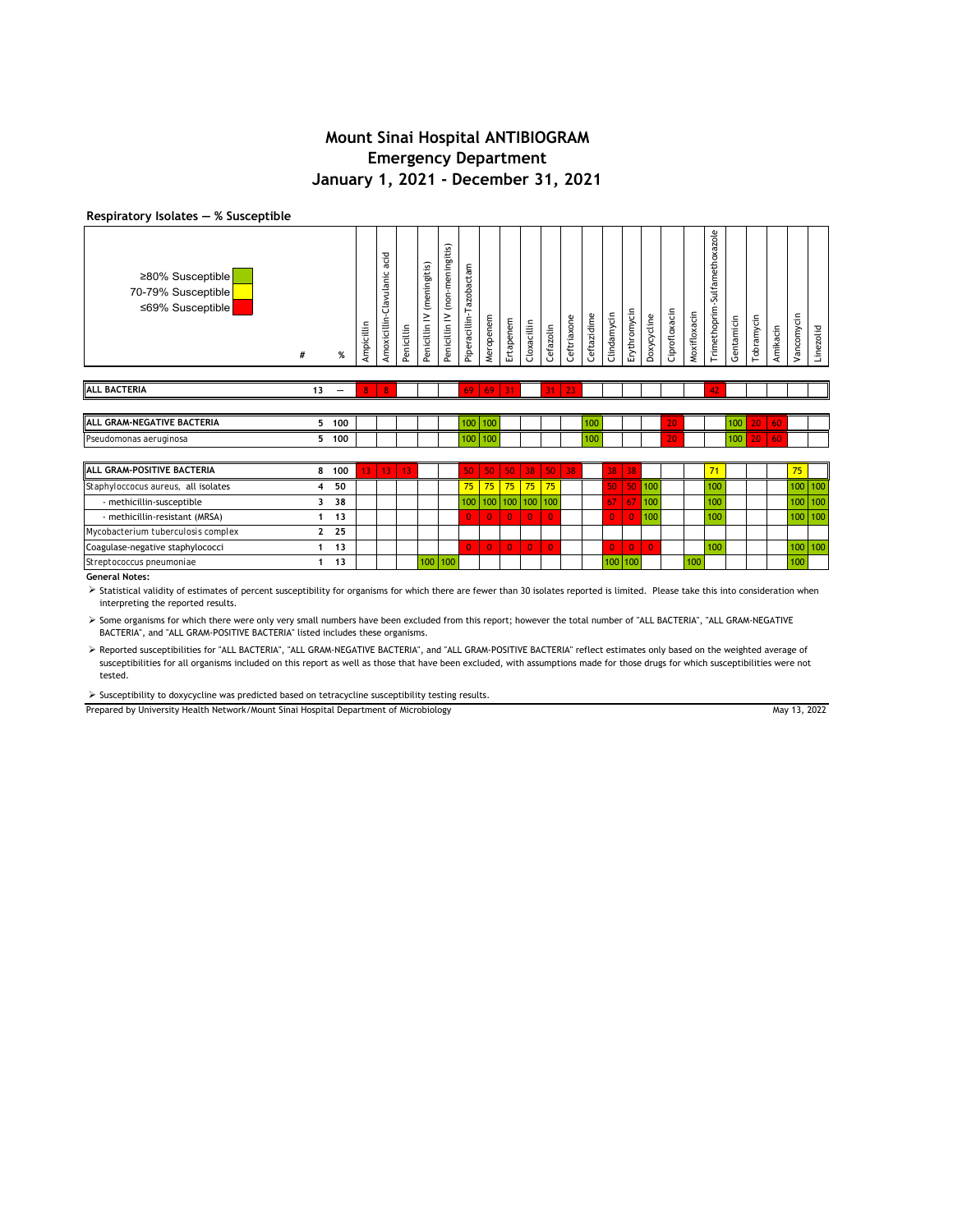### **Respiratory Isolates ― % Susceptible**

| ≥80% Susceptible<br>70-79% Susceptible<br>≤69% Susceptible | #  | %                        | Ampicillin | acid<br>Amoxicillin-Clavulanic | Penicillin | (meningitis)<br>Penicillin IV | (non-meningitis)<br>Penicillin IV | Piperacillin-Tazobactam | Meropenem    | Ertapenem      | Cloxacillin    | Cefazolin      | Ceftriaxone | Ceftazidime | Clindamycin  | Erythromycin   | Doxycycline        | Ciprofloxacin | Moxifloxacin | Trimethoprim-Sulfamethoxazole | Gentamicin | Tobramycin | Amikacin | Vancomycin | Linezolid |
|------------------------------------------------------------|----|--------------------------|------------|--------------------------------|------------|-------------------------------|-----------------------------------|-------------------------|--------------|----------------|----------------|----------------|-------------|-------------|--------------|----------------|--------------------|---------------|--------------|-------------------------------|------------|------------|----------|------------|-----------|
| <b>ALL BACTERIA</b>                                        | 13 | $\overline{\phantom{0}}$ | 8          | $\overline{\mathbf{8}}$        |            |                               |                                   | 69                      | 69           | 31             |                | 31             | 23          |             |              |                |                    |               |              | 42                            |            |            |          |            |           |
|                                                            |    |                          |            |                                |            |                               |                                   |                         |              |                |                |                |             |             |              |                |                    |               |              |                               |            |            |          |            |           |
| ALL GRAM-NEGATIVE BACTERIA                                 |    | 5 100                    |            |                                |            |                               |                                   | 100                     | 100          |                |                |                |             | 100         |              |                |                    | 20            |              |                               | 100        | 20         | 60       |            |           |
| Pseudomonas aeruginosa                                     | 5. | 100                      |            |                                |            |                               |                                   | 100                     | 100          |                |                |                |             | 100         |              |                |                    | 20            |              |                               | 100        | 20         | 60       |            |           |
|                                                            |    |                          |            |                                |            |                               |                                   |                         |              |                |                |                |             |             |              |                |                    |               |              |                               |            |            |          |            |           |
| ALL GRAM-POSITIVE BACTERIA                                 | 8  | 100                      | 13         | 13                             | 13         |                               |                                   | 50                      | 50           | 50             | 38             | 50             | 38          |             | 38           | 38             |                    |               |              | 71                            |            |            |          | 75         |           |
| Staphyloccocus aureus, all isolates                        |    | 50                       |            |                                |            |                               |                                   | 75                      | 75           | 75             | 75             | 75             |             |             | 50           | 50             | $\blacksquare$ 100 |               |              | 100                           |            |            |          | 100        | 100       |
| - methicillin-susceptible                                  | ٦  | 38                       |            |                                |            |                               |                                   | 100                     | 100          | 100            | 100 100        |                |             |             | 67           | 67             | 100                |               |              | 100                           |            |            |          | 100        | 100       |
| - methicillin-resistant (MRSA)                             |    | 13                       |            |                                |            |                               |                                   | $\overline{0}$          | $\mathbf{0}$ | $\overline{0}$ | $\overline{0}$ | $\overline{0}$ |             |             | $\mathbf{0}$ | $\overline{0}$ | 100                |               |              | 100                           |            |            |          | 100        | 100       |
| Mycobacterium tuberculosis complex                         | 2  | 25                       |            |                                |            |                               |                                   |                         |              |                |                |                |             |             |              |                |                    |               |              |                               |            |            |          |            |           |
| Coagulase-negative staphylococci                           | 1  | 13                       |            |                                |            |                               |                                   | $\mathbf{0}$            | $\mathbf{0}$ | $\overline{0}$ | $\overline{0}$ | $\overline{0}$ |             |             | $\mathbf{0}$ | $\overline{0}$ | $\overline{0}$     |               |              | 100                           |            |            |          | 100        | 100       |
| Streptococcus pneumoniae                                   |    | 13                       |            |                                |            |                               | 100 100                           |                         |              |                |                |                |             |             | 100          | 100            |                    |               | 100          |                               |            |            |          | 100        |           |
| General Notes                                              |    |                          |            |                                |            |                               |                                   |                         |              |                |                |                |             |             |              |                |                    |               |              |                               |            |            |          |            |           |

**General Notes:**

> Statistical validity of estimates of percent susceptibility for organisms for which there are fewer than 30 isolates reported is limited. Please take this into consideration when interpreting the reported results.

 Some organisms for which there were only very small numbers have been excluded from this report; however the total number of "ALL BACTERIA", "ALL GRAM-NEGATIVE BACTERIA", and "ALL GRAM-POSITIVE BACTERIA" listed includes these organisms.

> Reported susceptibilities for "ALL BACTERIA", "ALL GRAM-NEGATIVE BACTERIA", and "ALL GRAM-POSITIVE BACTERIA" reflect estimates only based on the weighted average of susceptibilities for all organisms included on this report as well as those that have been excluded, with assumptions made for those drugs for which susceptibilities were not tested.

 $\triangleright$  Susceptibility to doxycycline was predicted based on tetracycline susceptibility testing results.

Prepared by University Health Network/Mount Sinai Hospital Department of Microbiology

May 13, 2022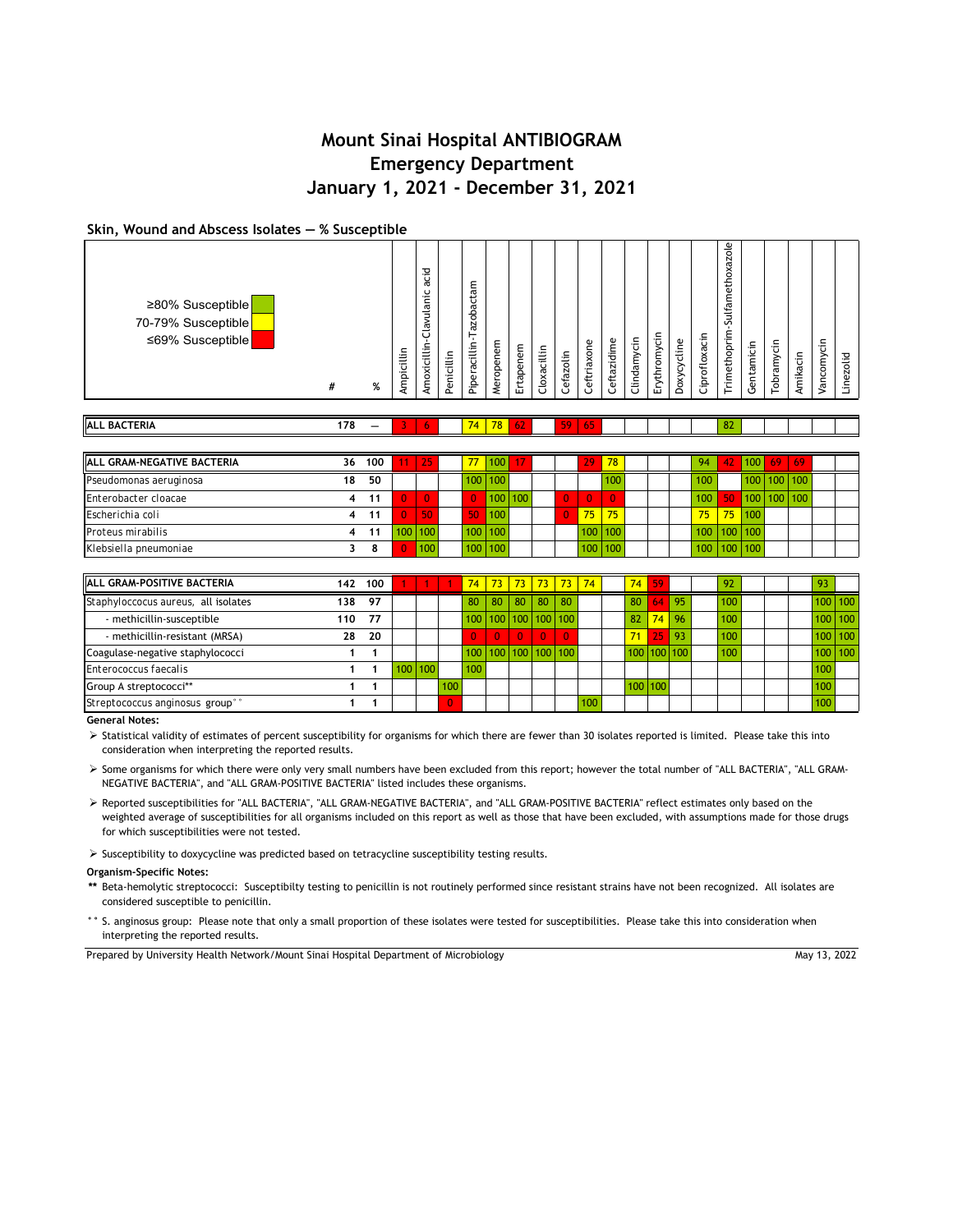### **Skin, Wound and Abscess Isolates ― % Susceptible**

| IALL GRAM-NEGATIVE BACTERIA | 36 | 100 | 25      |                  | 100 <sup>1</sup> |         |  | 29               | 78 <sup>1</sup>  |  | 94                      | 42           | $100$ 69                       |             | -69              |  |
|-----------------------------|----|-----|---------|------------------|------------------|---------|--|------------------|------------------|--|-------------------------|--------------|--------------------------------|-------------|------------------|--|
| Pseudomonas aeruginosa      | 18 | 50  |         |                  | $100$   $100$    |         |  |                  | 100 <sup>1</sup> |  | 100 <sub>1</sub>        |              |                                | $100$   100 | 100 <sub>1</sub> |  |
| Enterobacter cloacae        |    | 11  |         |                  |                  | 100 100 |  |                  |                  |  | 100                     | <b>150 N</b> | $\blacksquare$ 100   100   100 |             |                  |  |
| Escherichia coli            |    | 11  |         |                  | 100              |         |  | $75 -$           | 75               |  | 75 <sub>1</sub>         | 75           | 100                            |             |                  |  |
| Proteus mirabilis           |    | 11  | 100 100 | $100$ 100        |                  |         |  | 100 <sup>1</sup> | 100              |  | $100 \mid 100 \mid 100$ |              |                                |             |                  |  |
| Klebsiella pneumoniae       |    |     | 100     | 100 <sup>1</sup> | 100              |         |  | 100              | 100              |  | 100   100   100         |              |                                |             |                  |  |

| <b>ALL GRAM-POSITIVE BACTERIA</b>           | 142 | 100 |         |     | 74  |                     |          |          |                | <mark>  73   73   73   73   74  </mark> | 74 | 59          |         | 92               |  |     |             |
|---------------------------------------------|-----|-----|---------|-----|-----|---------------------|----------|----------|----------------|-----------------------------------------|----|-------------|---------|------------------|--|-----|-------------|
| Staphyloccocus aureus, all isolates         | 138 | 97  |         |     | 80  | 80 L                | 80 l     | 80       | $ 80\rangle$   |                                         | 80 |             | $64$ 95 | 100              |  |     | $100$   100 |
| - methicillin-susceptible                   | 110 | 77  |         |     |     | 100 100 100 100 100 |          |          |                |                                         | 82 | 74          | 96      | 100              |  |     | $100$   100 |
| - methicillin-resistant (MRSA)              | 28  | 20  |         |     |     | $\Omega$            | $\Omega$ | $\Omega$ | $\overline{0}$ |                                         | 71 | 257         | l 93    | 100              |  |     | $100$   100 |
| Coagulase-negative staphylococci            |     |     |         |     |     | 100 100 100 100 100 |          |          |                |                                         |    | 100 100 100 |         | 100 <sub>1</sub> |  |     | $100$   100 |
| Enterococcus faecalis                       |     |     | 100 100 |     | 100 |                     |          |          |                |                                         |    |             |         |                  |  | 100 |             |
| Group A streptococci**                      |     |     |         | 100 |     |                     |          |          |                |                                         |    | 100 100     |         |                  |  | 100 |             |
| Streptococcus anginosus group <sup>®®</sup> |     |     |         |     |     |                     |          |          |                | 100 <sub>1</sub>                        |    |             |         |                  |  | 100 |             |

**General Notes:**

> Statistical validity of estimates of percent susceptibility for organisms for which there are fewer than 30 isolates reported is limited. Please take this into consideration when interpreting the reported results.

 Some organisms for which there were only very small numbers have been excluded from this report; however the total number of "ALL BACTERIA", "ALL GRAM-NEGATIVE BACTERIA", and "ALL GRAM-POSITIVE BACTERIA" listed includes these organisms.

 Reported susceptibilities for "ALL BACTERIA", "ALL GRAM-NEGATIVE BACTERIA", and "ALL GRAM-POSITIVE BACTERIA" reflect estimates only based on the weighted average of susceptibilities for all organisms included on this report as well as those that have been excluded, with assumptions made for those drugs for which susceptibilities were not tested.

 $\triangleright$  Susceptibility to doxycycline was predicted based on tetracycline susceptibility testing results.

### **Organism-Specific Notes:**

- **\*\*** Beta-hemolytic streptococci: Susceptibilty testing to penicillin is not routinely performed since resistant strains have not been recognized. All isolates are considered susceptible to penicillin.
- **°°** S. anginosus group: Please note that only a small proportion of these isolates were tested for susceptibilities. Please take this into consideration when interpreting the reported results.

Prepared by University Health Network/Mount Sinai Hospital Department of Microbiology

May 13, 2022